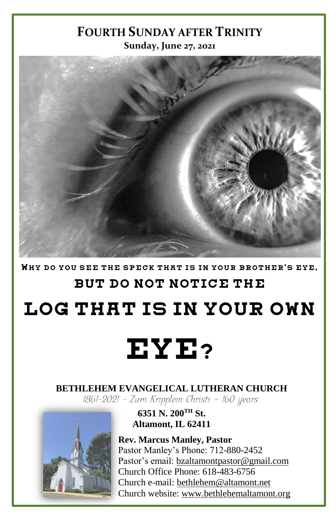#### **FOURTH SUNDAY AFTER TRINITY Sunday, June 27, 2021**



WHY DO YOU SEE THE SPECK THAT IS IN YOUR BROTHER'S EYE.

### BUT DO NOT NOTICE THE

LOG THAT IS IN YOUR OWN

# EYE?

# **BETHLEHEM EVANGELICAL LUTHERAN CHURCH**<br>[861-2021 - Zum Kripplein Christi - 160 years]



**6351 N. 200TH St. Altamont, IL 62411**

**Rev. Marcus Manley, Pastor** Pastor Manley's Phone: 712-880-2452 Pastor's email[: bzaltamontpastor@gmail.com](mailto:bzaltamontpastor@gmail.com) Church Office Phone: 618-483-6756 Church e-mail: [bethlehem@altamont.net](mailto:bethlehem@altamont.net)  Church website: [www.bethlehemaltamont.org](http://www.bethlehemaltamont.org/)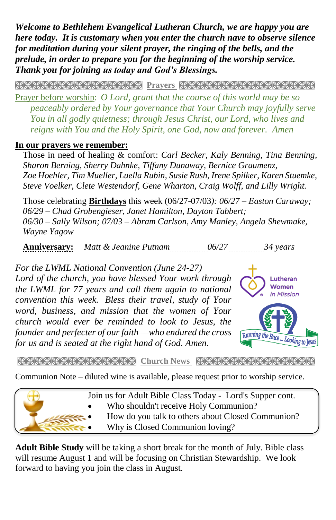*Welcome to Bethlehem Evangelical Lutheran Church, we are happy you are here today. It is customary when you enter the church nave to observe silence for meditation during your silent prayer, the ringing of the bells, and the prelude, in order to prepare you for the beginning of the worship service. Thank you for joining us today and God's Blessings.*

**PRAYARANA NATURAL PROTECT PARAMETERING CONTROLLER** 

Prayer before worship: *O Lord, grant that the course of this world may be so peaceably ordered by Your governance that Your Church may joyfully serve You in all godly quietness; through Jesus Christ, our Lord, who lives and reigns with You and the Holy Spirit, one God, now and forever. Amen* 

#### **In our prayers we remember:**

Those in need of healing & comfort: *Carl Becker, Kaly Benning, Tina Benning, Sharon Berning, Sherry Dahnke, Tiffany Dunaway, Bernice Graumenz, Zoe Hoehler, Tim Mueller, Luella Rubin, Susie Rush, Irene Spilker, Karen Stuemke, Steve Voelker, Clete Westendorf, Gene Wharton, Craig Wolff, and Lilly Wright.*

Those celebrating **Birthdays** this week (06/27-07/03*): 06/27 – Easton Caraway; 06/29 – Chad Grobengieser, Janet Hamilton, Dayton Tabbert; 06/30 – Sally Wilson; 07/03 – Abram Carlson, Amy Manley, Angela Shewmake, Wayne Yagow*

**Anniversary:** *Matt & Jeanine Putnam 06/27 34 years*

*For the LWML National Convention (June 24-27) Lord of the church, you have blessed Your work through the LWML for 77 years and call them again to national convention this week. Bless their travel, study of Your word, business, and mission that the women of Your church would ever be reminded to look to Jesus, the founder and perfecter of our faith —who endured the cross for us and is seated at the right hand of God. Amen.*



**Church News Receptions** 

Communion Note – diluted wine is available, please request prior to worship service.



**Adult Bible Study** will be taking a short break for the month of July. Bible class will resume August 1 and will be focusing on Christian Stewardship. We look forward to having you join the class in August.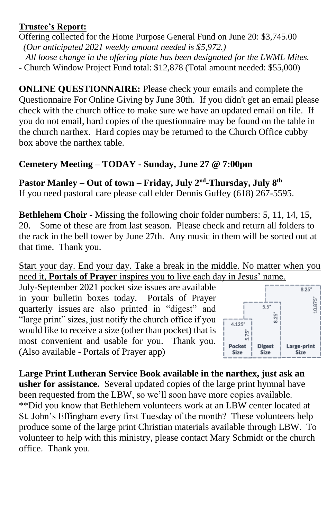#### **Trustee's Report:**

Offering collected for the Home Purpose General Fund on June 20: \$3,745.00  *(Our anticipated 2021 weekly amount needed is \$5,972.) All loose change in the offering plate has been designated for the LWML Mites.*

- Church Window Project Fund total: \$12,878 (Total amount needed: \$55,000)

**ONLINE QUESTIONNAIRE:** Please check your emails and complete the Questionnaire For Online Giving by June 30th. If you didn't get an email please check with the church office to make sure we have an updated email on file. If you do not email, hard copies of the questionnaire may be found on the table in the church narthex. Hard copies may be returned to the Church Office cubby box above the narthex table.

#### **Cemetery Meeting – TODAY - Sunday, June 27 @ 7:00pm**

**Pastor Manley – Out of town – Friday, July 2nd -Thursday, July 8 th** If you need pastoral care please call elder Dennis Guffey (618) 267-5595.

**Bethlehem Choir -** Missing the following choir folder numbers: 5, 11, 14, 15, 20. Some of these are from last season. Please check and return all folders to the rack in the bell tower by June 27th. Any music in them will be sorted out at that time. Thank you.

Start your day. End your day. Take a break in the middle. No matter when you need it, **Portals of Prayer** inspires you to live each day in Jesus' name.

July-September 2021 pocket size issues are available in your bulletin boxes today. Portals of Prayer quarterly issues are also printed in "digest" and "large print" sizes, just notify the church office if you would like to receive a size (other than pocket) that is most convenient and usable for you. Thank you. (Also available - Portals of Prayer app)



**Large Print Lutheran Service Book available in the narthex, just ask an usher for assistance.** Several updated copies of the large print hymnal have been requested from the LBW, so we'll soon have more copies available. \*\*Did you know that Bethlehem volunteers work at an LBW center located at St. John's Effingham every first Tuesday of the month? These volunteers help produce some of the large print Christian materials available through LBW. To volunteer to help with this ministry, please contact Mary Schmidt or the church office. Thank you.